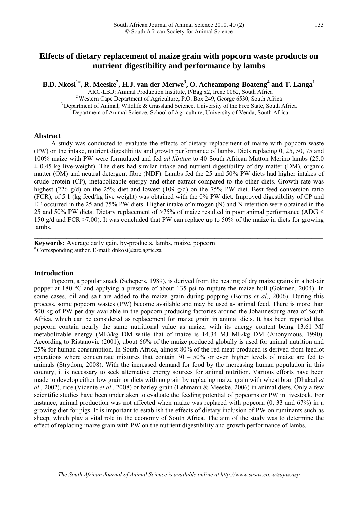# **Effects of dietary replacement of maize grain with popcorn waste products on nutrient digestibility and performance by lambs**

**B.D. Nkosi<sup>1#</sup>, R. Meeske<sup>2</sup>, H.J. van der Merwe<sup>3</sup>, O. Acheampong-Boateng<sup>4</sup> and T. Langa<sup>1</sup><br><sup>1</sup> ARC-LBD: Animal Production Institute, P/Bag x2, Irene 0062, South Africa<br><sup>2</sup> Western Cape Department of Agriculture, P.O.** 

 $\mathcal{L}_\mathcal{L} = \mathcal{L}_\mathcal{L} = \mathcal{L}_\mathcal{L} = \mathcal{L}_\mathcal{L} = \mathcal{L}_\mathcal{L} = \mathcal{L}_\mathcal{L} = \mathcal{L}_\mathcal{L} = \mathcal{L}_\mathcal{L} = \mathcal{L}_\mathcal{L} = \mathcal{L}_\mathcal{L} = \mathcal{L}_\mathcal{L} = \mathcal{L}_\mathcal{L} = \mathcal{L}_\mathcal{L} = \mathcal{L}_\mathcal{L} = \mathcal{L}_\mathcal{L} = \mathcal{L}_\mathcal{L} = \mathcal{L}_\mathcal{L}$ 

### **Abstract**

A study was conducted to evaluate the effects of dietary replacement of maize with popcorn waste (PW) on the intake, nutrient digestibility and growth performance of lambs. Diets replacing 0, 25, 50, 75 and 100% maize with PW were formulated and fed *ad libitum* to 40 South African Mutton Merino lambs (25.0  $\pm$  0.45 kg live-weight). The diets had similar intake and nutrient digestibility of dry matter (DM), organic matter (OM) and neutral detergent fibre (NDF). Lambs fed the 25 and 50% PW diets had higher intakes of crude protein (CP), metabolizable energy and ether extract compared to the other diets. Growth rate was highest (226 g/d) on the 25% diet and lowest (109 g/d) on the 75% PW diet. Best feed conversion ratio (FCR), of 5.1 (kg feed/kg live weight) was obtained with the 0% PW diet. Improved digestibility of CP and EE occurred in the 25 and 75% PW diets. Higher intake of nitrogen (N) and N retention were obtained in the 25 and 50% PW diets. Dietary replacement of >75% of maize resulted in poor animal performance (ADG < 150 g/d and FCR >7.00). It was concluded that PW can replace up to 50% of the maize in diets for growing lambs.

 $\mathcal{L}_\mathcal{L} = \{ \mathcal{L}_\mathcal{L} = \{ \mathcal{L}_\mathcal{L} = \{ \mathcal{L}_\mathcal{L} = \{ \mathcal{L}_\mathcal{L} = \{ \mathcal{L}_\mathcal{L} = \{ \mathcal{L}_\mathcal{L} = \{ \mathcal{L}_\mathcal{L} = \{ \mathcal{L}_\mathcal{L} = \{ \mathcal{L}_\mathcal{L} = \{ \mathcal{L}_\mathcal{L} = \{ \mathcal{L}_\mathcal{L} = \{ \mathcal{L}_\mathcal{L} = \{ \mathcal{L}_\mathcal{L} = \{ \mathcal{L}_\mathcal{$ 

**Keywords:** Average daily gain, by-products, lambs, maize, popcorn # Corresponding author. E-mail: dnkosi@arc.agric.za

#### **Introduction**

Popcorn, a popular snack (Schepers, 1989), is derived from the heating of dry maize grains in a hot-air popper at 180 °C and applying a pressure of about 135 psi to rupture the maize hull (Gokmen, 2004). In some cases, oil and salt are added to the maize grain during popping (Borras *et al*., 2006). During this process, some popcorn wastes (PW) become available and may be used as animal feed. There is more than 500 kg of PW per day available in the popcorn producing factories around the Johannesburg area of South Africa, which can be considered as replacement for maize grain in animal diets. It has been reported that popcorn contain nearly the same nutritional value as maize, with its energy content being 13.61 MJ metabolizable energy (ME)/kg DM while that of maize is 14.34 MJ ME/kg DM (Anonymous, 1990). According to Ristanovic (2001), about 66% of the maize produced globally is used for animal nutrition and 25% for human consumption. In South Africa, almost 80% of the red meat produced is derived from feedlot operations where concentrate mixtures that contain  $30 - 50\%$  or even higher levels of maize are fed to animals (Strydom, 2008). With the increased demand for food by the increasing human population in this country, it is necessary to seek alternative energy sources for animal nutrition. Various efforts have been made to develop either low grain or diets with no grain by replacing maize grain with wheat bran (Dhakad *et al*., 2002), rice (Vicente *et al*., 2008) or barley grain (Lehmann & Meeske, 2006) in animal diets. Only a few scientific studies have been undertaken to evaluate the feeding potential of popcorns or PW in livestock. For instance, animal production was not affected when maize was replaced with popcorn (0, 33 and 67%) in a growing diet for pigs. It is important to establish the effects of dietary inclusion of PW on ruminants such as sheep, which play a vital role in the economy of South Africa. The aim of the study was to determine the effect of replacing maize grain with PW on the nutrient digestibility and growth performance of lambs.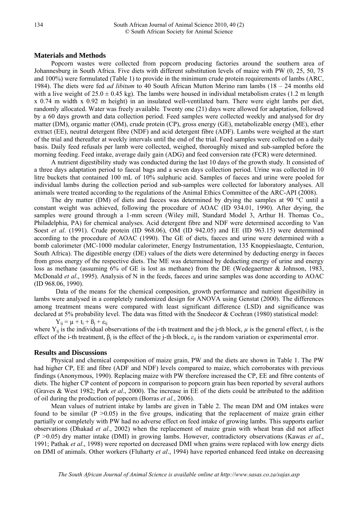## **Materials and Methods**

Popcorn wastes were collected from popcorn producing factories around the southern area of Johannesburg in South Africa. Five diets with different substitution levels of maize with PW (0, 25, 50, 75 and 100%) were formulated (Table 1) to provide in the minimum crude protein requirements of lambs (ARC, 1984). The diets were fed *ad libitum* to 40 South African Mutton Merino ram lambs (18 – 24 months old with a live weight of  $25.0 \pm 0.45$  kg). The lambs were housed in individual metabolism crates (1.2 m length x 0.74 m width x 0.92 m height) in an insulated well-ventilated barn. There were eight lambs per diet, randomly allocated. Water was freely available*.* Twenty one (21) days were allowed for adaptation, followed by a 60 days growth and data collection period. Feed samples were collected weekly and analysed for dry matter (DM), organic matter (OM), crude protein (CP), gross energy (GE), metabolizable energy (ME), ether extract (EE), neutral detergent fibre (NDF) and acid detergent fibre (ADF). Lambs were weighed at the start of the trial and thereafter at weekly intervals until the end of the trial. Feed samples were collected on a daily basis. Daily feed refusals per lamb were collected, weighed, thoroughly mixed and sub-sampled before the morning feeding. Feed intake, average daily gain (ADG) and feed conversion rate (FCR) were determined.

A nutrient digestibility study was conducted during the last 10 days of the growth study. It consisted of a three days adaptation period to faecal bags and a seven days collection period. Urine was collected in 10 litre buckets that contained 100 mL of 10% sulphuric acid. Samples of faeces and urine were pooled for individual lambs during the collection period and sub-samples were collected for laboratory analyses. All animals were treated according to the regulations of the Animal Ethics Committee of the ARC-API (2008).

The dry matter (DM) of diets and faeces was determined by drying the samples at 90 °C until a constant weight was achieved, following the procedure of AOAC (ID 934.01, 1990). After drying, the samples were ground through a 1-mm screen (Wiley mill, Standard Model 3, Arthur H. Thomas Co., Philadelphia, PA) for chemical analyses. Acid detergent fibre and NDF were determined according to Van Soest *et al*. (1991). Crude protein (ID 968.06), OM (ID 942.05) and EE (ID 963.15) were determined according to the procedure of AOAC (1990). The GE of diets, faeces and urine were determined with a bomb calorimeter (MC-1000 modular calorimeter, Energy Instrumentation, 135 Knoppieslaagte, Centurion, South Africa). The digestible energy (DE) values of the diets were determined by deducting energy in faeces from gross energy of the respective diets. The ME was determined by deducting energy of urine and energy loss as methane (assuming 6% of GE is lost as methane) from the DE (Wedegaertner & Johnson, 1983, McDonald *et al*., 1995). Analysis of N in the feeds, faeces and urine samples was done according to AOAC (ID 968.06, 1990).

Data of the means for the chemical composition, growth performance and nutrient digestibility in lambs were analysed in a completely randomized design for ANOVA using Genstat (2000). The differences among treatment means were compared with least significant difference (LSD) and significance was declared at 5% probability level. The data was fitted with the Snedecor & Cochran (1980) statistical model:

 $Y_{ij} = \mu + t_i + \beta_j + \varepsilon_{ij}$ 

where  $Y_{ii}$  is the individual observations of the i-th treatment and the j-th block,  $\mu$  is the general effect,  $t_i$  is the effect of the i-th treatment,  $\beta_i$  is the effect of the j-th block,  $\varepsilon_{ij}$  is the random variation or experimental error.

#### **Results and Discussions**

Physical and chemical composition of maize grain, PW and the diets are shown in Table 1. The PW had higher CP, EE and fibre (ADF and NDF) levels compared to maize, which corroborates with previous findings (Anonymous, 1990). Replacing maize with PW therefore increased the CP, EE and fibre contents of diets. The higher CP content of popcorn in comparison to popcorn grain has been reported by several authors (Graves & West 1982; Park *et al*., 2000). The increase in EE of the diets could be attributed to the addition of oil during the production of popcorn (Borras *et al*., 2006).

Mean values of nutrient intake by lambs are given in Table 2. The mean DM and OM intakes were found to be similar  $(P > 0.05)$  in the five groups, indicating that the replacement of maize grain either partially or completely with PW had no adverse effect on feed intake of growing lambs. This supports earlier observations (Dhakad *et al*., 2002) when the replacement of maize grain with wheat bran did not affect (P >0.05) dry matter intake (DMI) in growing lambs. However, contradictory observations (Kawas *et al*., 1991; Pathak *et al*., 1998) were reported on decreased DMI when grains were replaced with low energy diets on DMI of animals. Other workers (Fluharty *et al*., 1994) have reported enhanced feed intake on decreasing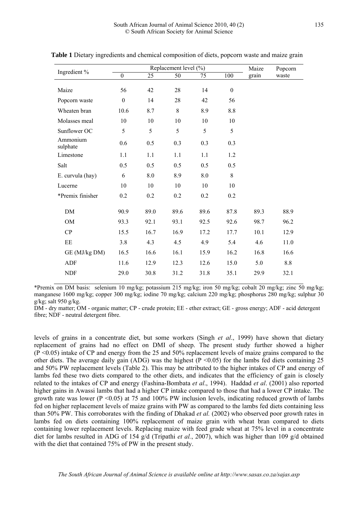| Ingredient %         | Replacement level (%) |      |         |      |                  | Maize | Popcorn |
|----------------------|-----------------------|------|---------|------|------------------|-------|---------|
|                      | $\boldsymbol{0}$      | 25   | 50      | 75   | 100              | grain | waste   |
| Maize                | 56                    | 42   | 28      | 14   | $\boldsymbol{0}$ |       |         |
| Popcorn waste        | $\boldsymbol{0}$      | 14   | 28      | 42   | 56               |       |         |
| Wheaten bran         | 10.6                  | 8.7  | $\,8\,$ | 8.9  | 8.8              |       |         |
| Molasses meal        | 10                    | 10   | 10      | 10   | 10               |       |         |
| Sunflower OC         | 5                     | 5    | 5       | 5    | 5                |       |         |
| Ammonium<br>sulphate | 0.6                   | 0.5  | 0.3     | 0.3  | 0.3              |       |         |
| Limestone            | 1.1                   | 1.1  | 1.1     | 1.1  | 1.2              |       |         |
| Salt                 | 0.5                   | 0.5  | 0.5     | 0.5  | 0.5              |       |         |
| E. curvula (hay)     | 6                     | 8.0  | 8.9     | 8.0  | 8                |       |         |
| Lucerne              | 10                    | 10   | 10      | 10   | 10               |       |         |
| *Premix finisher     | 0.2                   | 0.2  | 0.2     | 0.2  | 0.2              |       |         |
| DM                   | 90.9                  | 89.0 | 89.6    | 89.6 | 87.8             | 89.3  | 88.9    |
| <b>OM</b>            | 93.3                  | 92.1 | 93.1    | 92.5 | 92.6             | 98.7  | 96.2    |
| CP                   | 15.5                  | 16.7 | 16.9    | 17.2 | 17.7             | 10.1  | 12.9    |
| EE                   | 3.8                   | 4.3  | 4.5     | 4.9  | 5.4              | 4.6   | 11.0    |
| GE (MJ/kg DM)        | 16.5                  | 16.6 | 16.1    | 15.9 | 16.2             | 16.8  | 16.6    |
| <b>ADF</b>           | 11.6                  | 12.9 | 12.3    | 12.6 | 15.0             | 5.0   | 8.8     |
| <b>NDF</b>           | 29.0                  | 30.8 | 31.2    | 31.8 | 35.1             | 29.9  | 32.1    |

**Table 1** Dietary ingredients and chemical composition of diets, popcorn waste and maize grain

\*Premix on DM basis: selenium 10 mg/kg; potassium 215 mg/kg; iron 50 mg/kg; cobalt 20 mg/kg; zinc 50 mg/kg; manganese 1600 mg/kg; copper 300 mg/kg; iodine 70 mg/kg; calcium 220 mg/kg; phosphorus 280 mg/kg; sulphur 30 g/kg; salt 950 g/kg.

DM - dry matter; OM - organic matter; CP - crude protein; EE - ether extract; GE - gross energy; ADF - acid detergent fibre; NDF - neutral detergent fibre.

levels of grains in a concentrate diet, but some workers (Singh *et al*., 1999) have shown that dietary replacement of grains had no effect on DMI of sheep. The present study further showed a higher  $(P \le 0.05)$  intake of CP and energy from the 25 and 50% replacement levels of maize grains compared to the other diets. The average daily gain (ADG) was the highest ( $P \le 0.05$ ) for the lambs fed diets containing 25 and 50% PW replacement levels (Table 2). This may be attributed to the higher intakes of CP and energy of lambs fed these two diets compared to the other diets, and indicates that the efficiency of gain is closely related to the intakes of CP and energy (Fashina-Bombata *et al*., 1994). Haddad *et al*. (2001) also reported higher gains in Awassi lambs that had a higher CP intake compared to those that had a lower CP intake. The growth rate was lower ( $P \le 0.05$ ) at 75 and 100% PW inclusion levels, indicating reduced growth of lambs fed on higher replacement levels of maize grains with PW as compared to the lambs fed diets containing less than 50% PW. This corroborates with the finding of Dhakad *et al.* (2002) who observed poor growth rates in lambs fed on diets containing 100% replacement of maize grain with wheat bran compared to diets containing lower replacement levels. Replacing maize with feed grade wheat at 75% level in a concentrate diet for lambs resulted in ADG of 154 g/d (Tripathi *et al.*, 2007), which was higher than 109 g/d obtained with the diet that contained 75% of PW in the present study.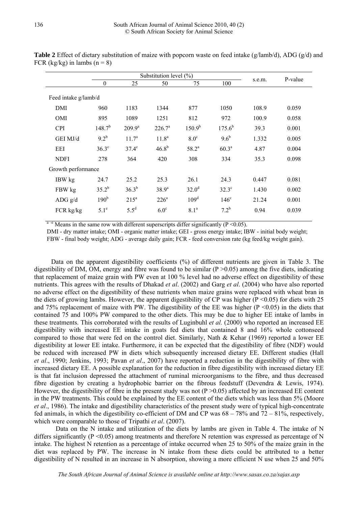|                      | Substitution level (%) |                   |                   |                   |              |        | P-value |  |
|----------------------|------------------------|-------------------|-------------------|-------------------|--------------|--------|---------|--|
|                      | $\overline{0}$         | 25                | 50                | 75                | 100          | s.e.m. |         |  |
| Feed intake g/lamb/d |                        |                   |                   |                   |              |        |         |  |
| DMI                  | 960                    | 1183              | 1344              | 877               | 1050         | 108.9  | 0.059   |  |
| <b>OMI</b>           | 895                    | 1089              | 1251              | 812               | 972          | 100.9  | 0.058   |  |
| <b>CPI</b>           | $148.7^{b}$            | $209.9^a$         | $226.7^{\circ}$   | $150.9^{b}$       | $175.6^{b}$  | 39.3   | 0.001   |  |
| GEI MJ/d             | $9.2^b$                | 11.7 <sup>a</sup> | 11.8 <sup>a</sup> | 8.0 <sup>c</sup>  | $9.6^b$      | 1.332  | 0.005   |  |
| EEI                  | $36.3^\circ$           | $37.4^\circ$      | $46.8^{b}$        | $58.2^a$          | $60.3^{a}$   | 4.87   | 0.004   |  |
| <b>NDFI</b>          | 278                    | 364               | 420               | 308               | 334          | 35.3   | 0.098   |  |
| Growth performance   |                        |                   |                   |                   |              |        |         |  |
| IBW kg               | 24.7                   | 25.2              | 25.3              | 26.1              | 24.3         | 0.447  | 0.081   |  |
| FBW kg               | $35.2^{b}$             | $36.3^{b}$        | 38.9 <sup>a</sup> | 32.0 <sup>d</sup> | $32.3^\circ$ | 1.430  | 0.002   |  |
| ADG $g/d$            | 190 <sup>b</sup>       | $215^a$           | $226^a$           | 109 <sup>d</sup>  | $146^\circ$  | 21.24  | 0.001   |  |
| $FCR$ kg/kg          | $5.1^e$                | $5.5^d$           | 6.0 <sup>c</sup>  | 8.1 <sup>a</sup>  | $7.2^{b}$    | 0.94   | 0.039   |  |
|                      |                        |                   |                   |                   |              |        |         |  |

**Table 2** Effect of dietary substitution of maize with popcorn waste on feed intake (g/lamb/d), ADG (g/d) and FCR (kg/kg) in lambs  $(n = 8)$ 

 $a-e$  Means in the same row with different superscripts differ significantly (P < 0.05).

DMI - dry matter intake; OMI - organic matter intake; GEI - gross energy intake; IBW - initial body weight; FBW - final body weight; ADG - average daily gain; FCR - feed conversion rate (kg feed/kg weight gain).

Data on the apparent digestibility coefficients (%) of different nutrients are given in Table 3. The digestibility of DM, OM, energy and fibre was found to be similar  $(P > 0.05)$  among the five diets, indicating that replacement of maize grain with PW even at 100 % level had no adverse effect on digestibility of these nutrients. This agrees with the results of Dhakad *et al*. (2002) and Garg *et al*. (2004) who have also reported no adverse effect on the digestibility of these nutrients when maize grains were replaced with wheat bran in the diets of growing lambs. However, the apparent digestibility of CP was higher  $(P \le 0.05)$  for diets with 25 and 75% replacement of maize with PW. The digestibility of the EE was higher  $(P \le 0.05)$  in the diets that contained 75 and 100% PW compared to the other diets. This may be due to higher EE intake of lambs in these treatments. This corroborated with the results of Luginbuhl *et al.* (2000) who reported an increased EE digestibility with increased EE intake in goats fed diets that contained 8 and 16% whole cottonseed compared to those that were fed on the control diet. Similarly, Nath & Kehar (1969) reported a lower EE digestibility at lower EE intake. Furthermore, it can be expected that the digestibility of fibre (NDF) would be reduced with increased PW in diets which subsequently increased dietary EE. Different studies (Hall *et al*., 1990; Jenkins, 1993; Pavan *et al*., 2007) have reported a reduction in the digestibility of fibre with increased dietary EE. A possible explanation for the reduction in fibre digestibility with increased dietary EE is that fat inclusion depressed the attachment of ruminal microorganisms to the fibre, and thus decreased fibre digestion by creating a hydrophobic barrier on the fibrous feedstuff (Devendra & Lewis, 1974). However, the digestibility of fibre in the present study was not  $(P > 0.05)$  affected by an increased EE content in the PW treatments. This could be explained by the EE content of the diets which was less than 5% (Moore *et al*., 1986). The intake and digestibility characteristics of the present study were of typical high-concentrate fed animals, in which the digestibility co-efficient of DM and CP was  $68 - 78\%$  and  $72 - 81\%$ , respectively, which were comparable to those of Tripathi *et al*. (2007).

Data on the N intake and utilization of the diets by lambs are given in Table 4. The intake of N differs significantly ( $P \le 0.05$ ) among treatments and therefore N retention was expressed as percentage of N intake. The highest N retention as a percentage of intake occurred when 25 to 50% of the maize grain in the diet was replaced by PW. The increase in N intake from these diets could be attributed to a better digestibility of N resulted in an increase in N absorption, showing a more efficient N use when 25 and 50%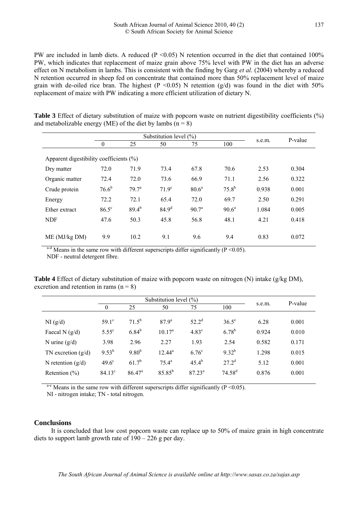PW are included in lamb diets. A reduced ( $P \le 0.05$ ) N retention occurred in the diet that contained 100% PW, which indicates that replacement of maize grain above 75% level with PW in the diet has an adverse effect on N metabolism in lambs. This is consistent with the finding by Garg *et al*. (2004) whereby a reduced N retention occurred in sheep fed on concentrate that contained more than 50% replacement level of maize grain with de-oiled rice bran. The highest ( $P < 0.05$ ) N retention (g/d) was found in the diet with 50% replacement of maize with PW indicating a more efficient utilization of dietary N.

| Table 3 Effect of dietary substitution of maize with popcorn waste on nutrient digestibility coefficients (%) |  |  |  |
|---------------------------------------------------------------------------------------------------------------|--|--|--|
| and metabolizable energy (ME) of the diet by lambs $(n = 8)$                                                  |  |  |  |

|                                             | Substitution level $(\% )$ |                   |                   |                   |                |        | P-value |  |  |
|---------------------------------------------|----------------------------|-------------------|-------------------|-------------------|----------------|--------|---------|--|--|
|                                             | $\mathbf{0}$               | 25                | 50                | 75                | 100            | s.e.m. |         |  |  |
| Apparent digestibility coefficients $(\% )$ |                            |                   |                   |                   |                |        |         |  |  |
| Dry matter                                  | 72.0                       | 71.9              | 73.4              | 67.8              | 70.6           | 2.53   | 0.304   |  |  |
| Organic matter                              | 72.4                       | 72.0              | 73.6              | 66.9              | 71.1           | 2.56   | 0.322   |  |  |
| Crude protein                               | $76.6^{b}$                 | 79.7 <sup>a</sup> | 71.9 <sup>c</sup> | $80.6^a$          | $75.8^{b}$     | 0.938  | 0.001   |  |  |
| Energy                                      | 72.2                       | 72.1              | 65.4              | 72.0              | 69.7           | 2.50   | 0.291   |  |  |
| Ether extract                               | $86.5^{\circ}$             | $89.4^{b}$        | 84.9 <sup>d</sup> | 90.7 <sup>a</sup> | $90.6^{\circ}$ | 1.084  | 0.005   |  |  |
| <b>NDF</b>                                  | 47.6                       | 50.3              | 45.8              | 56.8              | 48.1           | 4.21   | 0.418   |  |  |
| ME (MJ/kg DM)                               | 9.9                        | 10.2              | 9.1               | 9.6               | 9.4            | 0.83   | 0.072   |  |  |

<sup>a-d</sup> Means in the same row with different superscripts differ significantly ( $P \le 0.05$ ). NDF - neutral detergent fibre.

**Table 4** Effect of dietary substitution of maize with popcorn waste on nitrogen (N) intake (g/kg DM), excretion and retention in rams  $(n = 8)$ 

|                      | Substitution level $(\% )$ |                    |                   |                   |                      |        | P-value |  |
|----------------------|----------------------------|--------------------|-------------------|-------------------|----------------------|--------|---------|--|
|                      |                            | 25                 | 50                | 75                | 100                  | s.e.m. |         |  |
| NI(g/d)              | $59.1^\circ$               | $71.5^{b}$         | 87.9 <sup>a</sup> | $52.2^d$          | $36.5^{\circ}$       | 6.28   | 0.001   |  |
| Faecal N $(g/d)$     | $5.55^{\circ}$             | $6.84^{b}$         | $10.17^{\rm a}$   | 4.83 <sup>c</sup> | $6.78^{b}$           | 0.924  | 0.010   |  |
| N urine $(g/d)$      | 3.98                       | 2.96               | 2.27              | 1.93              | 2.54                 | 0.582  | 0.171   |  |
| TN excretion $(g/d)$ | $9.53^{b}$                 | $9.80^{b}$         | $12.44^{\circ}$   | 6.76 <sup>c</sup> | $9.32^{b}$           | 1.298  | 0.015   |  |
| N retention $(g/d)$  | $49.6^\circ$               | $61.7^{b}$         | $75.4^{\rm a}$    | $45.4^{b}$        | $27.2^d$             | 5.12   | 0.001   |  |
| Retention $(\% )$    | $84.13^{\circ}$            | 86.47 <sup>a</sup> | $85.85^{b}$       | $87.23^{\circ}$   | $74.58$ <sup>d</sup> | 0.876  | 0.001   |  |

<sup>a-e</sup> Means in the same row with different superscripts differ significantly ( $P \le 0.05$ ).

NI - nitrogen intake; TN - total nitrogen.

#### **Conclusions**

It is concluded that low cost popcorn waste can replace up to 50% of maize grain in high concentrate diets to support lamb growth rate of  $190 - 226$  g per day.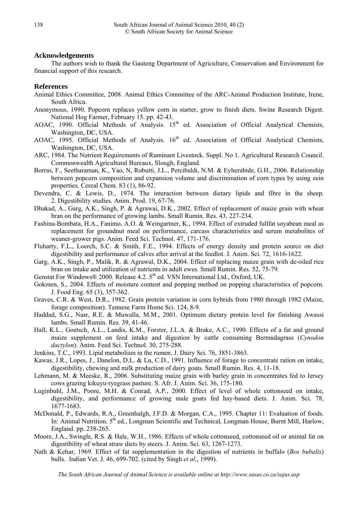# **Acknowledgements**

The authors wish to thank the Gauteng Department of Agriculture, Conservation and Environment for financial support of this research.

# **References**

- Animal Ethics Committee, 2008. Animal Ethics Committee of the ARC-Animal Production Institute, Irene, South Africa.
- Anonymous, 1990. Popcorn replaces yellow corn in starter, grow to finish diets. Swine Research Digest. National Hog Farmer, February 15. pp. 42-43.
- AOAC, 1990. Official Methods of Analysis.  $15<sup>th</sup>$  ed. Association of Official Analytical Chemists, Washington, DC, USA.
- AOAC, 1995. Official Methods of Analysis. 16<sup>th</sup> ed. Association of Official Analytical Chemists, Washington, DC, USA.
- ARC, 1984. The Nutrient Requirements of Ruminant Livestock. Suppl. No 1. Agricultural Research Council. Commonwealth Agricultural Bureaux, Slough, England.
- Borras, F., Seetharaman, K., Yao, N, Robutti, J.L., Percibaldi, N.M. & Eyherabide, G.H., 2006. Relationship between popcorn composition and expansion volume and discrimination of corn types by using zein properties. Cereal Chem. 83 (1), 86-92.
- Devendra, C. & Lewis, D., 1974. The interaction between dietary lipids and fibre in the sheep. 2. Digestibility studies. Anim. Prod. 19, 67-76.
- Dhakad, A., Garg, A.K., Singh, P. & Agrawai, D.K., 2002. Effect of replacement of maize grain with wheat bran on the performance of growing lambs. Small Rumin. Res. 43, 227-234.
- Fashina-Bombata, H.A., Fanimo, A.O. & Weingartner, K., 1994. Effect of extruded fullfat soyabean meal as replacement for groundnut meal on performance, carcass characteristics and serum metabolites of weaner-grower pigs. Anim. Feed Sci. Technol. 47, 171-176.
- Fluharty, F.L., Loerch, S.C. & Smith, F.E., 1994. Effects of energy density and protein source on diet digestibility and performance of calves after arrival at the feedlot. J. Anim. Sci. 72, 1616-1622.
- Garg, A.K., Singh, P., Malik, R. & Agrawal, D.K., 2004. Effect of replacing maize grain with de-oiled rice bran on intake and utilization of nutrients in adult ewes. Small Rumin. Res. 52, 75-79.
- Genstat For Windows® 2000. Release 4.2. 5<sup>th</sup> ed. VSN International Ltd., Oxford, UK.
- Gokmen, S., 2004. Effects of moisture content and popping method on popping characteristics of popcorn. J. Food Eng. 65 (3), 357-362.
- Graves, C.R. & West, D.R., 1982. Grain protein variation in corn hybrids from 1980 through 1982 (Maize, forage composition). Tennese Farm Home Sci. 124, 8-9.
- Haddad, S.G., Nasr, R.E. & Muwalla, M.M., 2001. Optimum dietary protein level for finishing Awassi lambs. Small Rumin. Res. 39, 41-46.
- Hall, K.L., Goetsch, A.L., Landis, K.M., Forster, J.L.A. & Brake, A.C., 1990. Effects of a fat and ground maize supplement on feed intake and digestion by cattle consuming Bermudagrass (*Cynodon dactylon*). Anim. Feed Sci. Technol. 30, 275-288.
- Jenkins, T.C., 1993. Lipid metabolism in the rumen. J. Dairy Sci. 76, 3851-3863.
- Kawas, J.R., Lopes, J., Danelon, D.L. & Lu, C.D., 1991. Influence of forage to concentrate ration on intake, digestibility, chewing and milk production of dairy goats. Small Rumin. Res. 4, 11-18.
- Lehmann, M. & Meeske, R., 2006. Substituting maize grain with barley grain in concentrates fed to Jersey cows grazing kikuyu-ryegrass pasture. S. Afr. J. Anim. Sci. 36, 175-180.
- Luginbuhl, J.M., Poore, M.H. & Conrad, A.P., 2000. Effect of level of whole cottonseed on intake, digestibility, and performance of growing male goats fed hay-based diets. J. Anim. Sci. 78, 1677-1683.
- McDonald, P., Edwards, R.A., Greenhalgh, J.F.D. & Morgan, C.A., 1995. Chapter 11: Evaluation of foods. In: Animal Nutrition. 5<sup>th</sup> ed., Longman Scientific and Technical, Longman House, Burnt Mill, Harlow, England. pp. 238-265.
- Moore, J.A., Swingle, R.S. & Hale, W.H., 1986. Effects of whole cottonseed, cottonseed oil or animal fat on digestibility of wheat straw diets by steers. J. Anim. Sci. 63, 1267-1273.
- Nath & Kehar, 1969. Effect of fat supplementation in the digestion of nutrients in buffalo (*Bos bubalis*) bulls. Indian Vet. J. 46, 699-702. (cited by Singh *et al*., 1999).

138